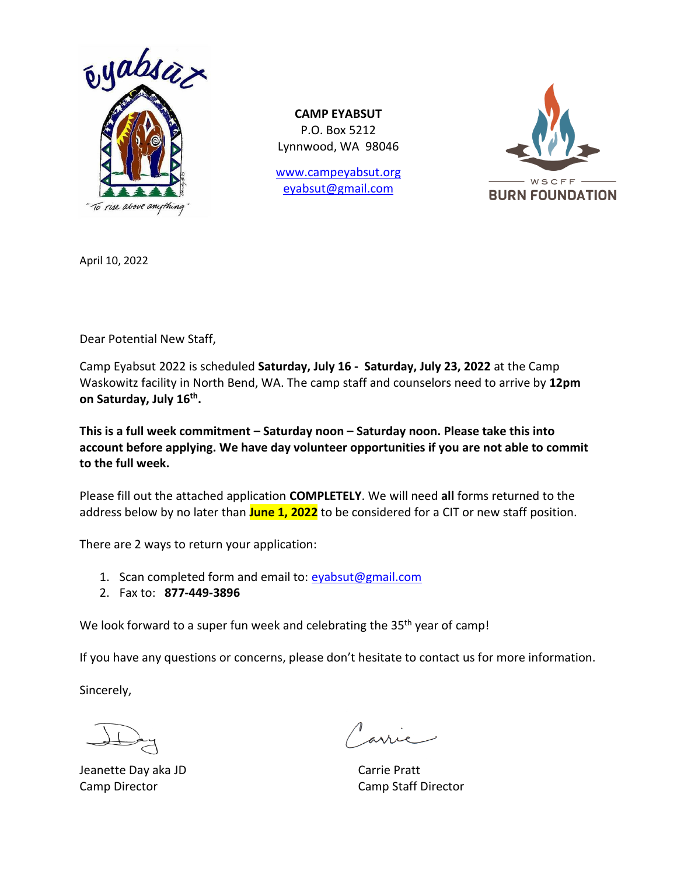

**CAMP EYABSUT** P.O. Box 5212 Lynnwood, WA 98046

[www.campeyabsut.org](http://www.campeyabsut.org/) [eyabsut@gmail.com](mailto:eyabsut@gmail.com)



April 10, 2022

Dear Potential New Staff,

Camp Eyabsut 2022 is scheduled **Saturday, July 16 - Saturday, July 23, 2022** at the Camp Waskowitz facility in North Bend, WA. The camp staff and counselors need to arrive by **12pm on Saturday, July 16th .**

**This is a full week commitment – Saturday noon – Saturday noon. Please take this into account before applying. We have day volunteer opportunities if you are not able to commit to the full week.**

Please fill out the attached application **COMPLETELY**. We will need **all** forms returned to the address below by no later than **June 1, 2022** to be considered for a CIT or new staff position.

There are 2 ways to return your application:

- 1. Scan completed form and email to: [eyabsut@gmail.com](mailto:eyabsut@gmail.com)
- 2. Fax to: **877-449-3896**

We look forward to a super fun week and celebrating the 35<sup>th</sup> year of camp!

If you have any questions or concerns, please don't hesitate to contact us for more information.

Sincerely,

Jeanette Day aka JD Carrie Pratt

Camp Director Camp Staff Director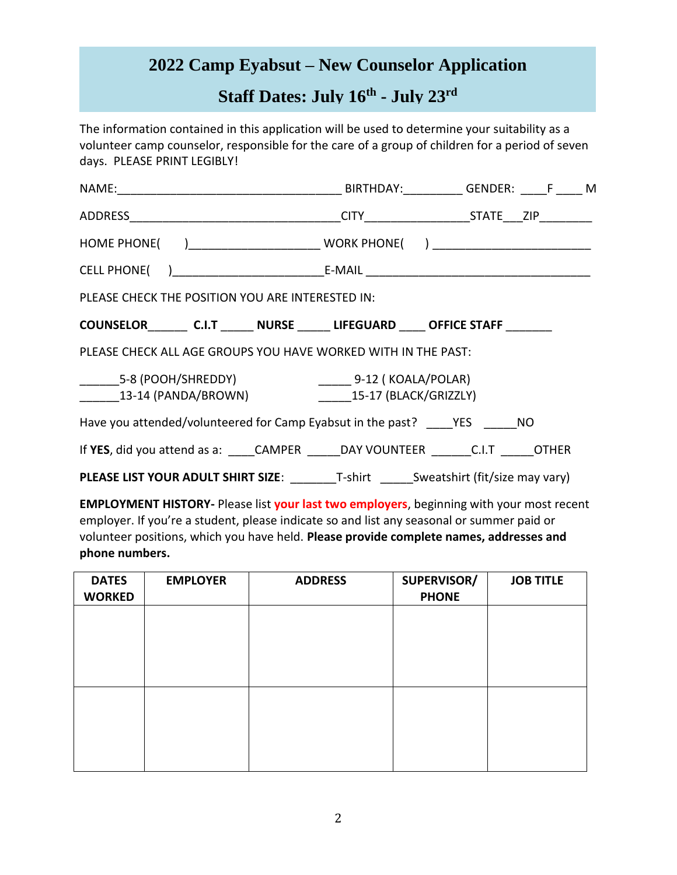# **2022 Camp Eyabsut – New Counselor Application**

# **Staff Dates: July 16 th - July 23 rd**

The information contained in this application will be used to determine your suitability as a volunteer camp counselor, responsible for the care of a group of children for a period of seven days. PLEASE PRINT LEGIBLY!

| PLEASE CHECK THE POSITION YOU ARE INTERESTED IN:                                       |  |
|----------------------------------------------------------------------------------------|--|
| COUNSELOR C.I.T NURSE LIFEGUARD OFFICE STAFF                                           |  |
| PLEASE CHECK ALL AGE GROUPS YOU HAVE WORKED WITH IN THE PAST:                          |  |
|                                                                                        |  |
| Have you attended/volunteered for Camp Eyabsut in the past? YES NO                     |  |
| If YES, did you attend as a: _____CAMPER ______DAY VOUNTEER ________ C.I.T ______OTHER |  |
| <b>PLEASE LIST YOUR ADULT SHIRT SIZE:</b> T-shirt Sweatshirt (fit/size may vary)       |  |

**EMPLOYMENT HISTORY-** Please list **your last two employers**, beginning with your most recent employer. If you're a student, please indicate so and list any seasonal or summer paid or volunteer positions, which you have held. **Please provide complete names, addresses and phone numbers.** 

| <b>DATES</b><br><b>WORKED</b> | <b>EMPLOYER</b> | <b>ADDRESS</b> | SUPERVISOR/<br><b>PHONE</b> | <b>JOB TITLE</b> |
|-------------------------------|-----------------|----------------|-----------------------------|------------------|
|                               |                 |                |                             |                  |
|                               |                 |                |                             |                  |
|                               |                 |                |                             |                  |
|                               |                 |                |                             |                  |
|                               |                 |                |                             |                  |
|                               |                 |                |                             |                  |
|                               |                 |                |                             |                  |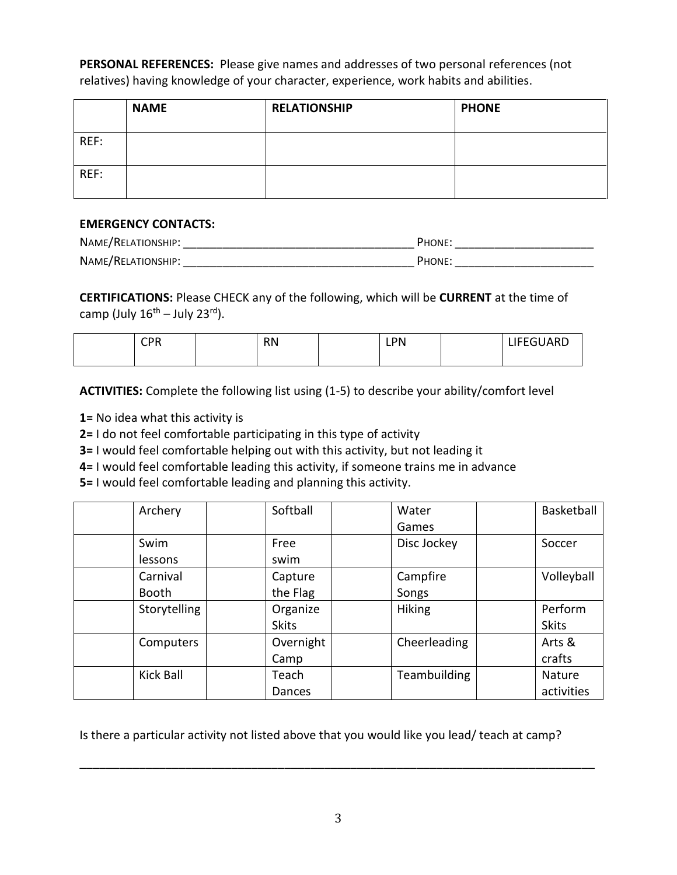**PERSONAL REFERENCES:** Please give names and addresses of two personal references (not relatives) having knowledge of your character, experience, work habits and abilities.

|      | <b>NAME</b> | <b>RELATIONSHIP</b> | <b>PHONE</b> |
|------|-------------|---------------------|--------------|
| REF: |             |                     |              |
| REF: |             |                     |              |

#### **EMERGENCY CONTACTS:**

| NAME/RELATIONSHIP: | <b>PHONE:</b> |
|--------------------|---------------|
| NAME/RELATIONSHIP: | <b>PHONE:</b> |

**CERTIFICATIONS:** Please CHECK any of the following, which will be **CURRENT** at the time of camp (July 16<sup>th</sup> – July 23<sup>rd</sup>).

| CDD<br>יו י | <b>RN</b> | PN<br>ᄕ | LIFEGUARD |
|-------------|-----------|---------|-----------|
|             |           |         |           |

**ACTIVITIES:** Complete the following list using (1-5) to describe your ability/comfort level

**1=** No idea what this activity is

**2=** I do not feel comfortable participating in this type of activity

**3=** I would feel comfortable helping out with this activity, but not leading it

**4=** I would feel comfortable leading this activity, if someone trains me in advance

**5=** I would feel comfortable leading and planning this activity.

| Archery          | Softball     | Water         | Basketball   |
|------------------|--------------|---------------|--------------|
|                  |              | Games         |              |
| Swim             | Free         | Disc Jockey   | Soccer       |
| lessons          | swim         |               |              |
| Carnival         | Capture      | Campfire      | Volleyball   |
| <b>Booth</b>     | the Flag     | Songs         |              |
| Storytelling     | Organize     | <b>Hiking</b> | Perform      |
|                  | <b>Skits</b> |               | <b>Skits</b> |
| Computers        | Overnight    | Cheerleading  | Arts &       |
|                  | Camp         |               | crafts       |
| <b>Kick Ball</b> | Teach        | Teambuilding  | Nature       |
|                  | Dances       |               | activities   |

Is there a particular activity not listed above that you would like you lead/ teach at camp?

\_\_\_\_\_\_\_\_\_\_\_\_\_\_\_\_\_\_\_\_\_\_\_\_\_\_\_\_\_\_\_\_\_\_\_\_\_\_\_\_\_\_\_\_\_\_\_\_\_\_\_\_\_\_\_\_\_\_\_\_\_\_\_\_\_\_\_\_\_\_\_\_\_\_\_\_\_\_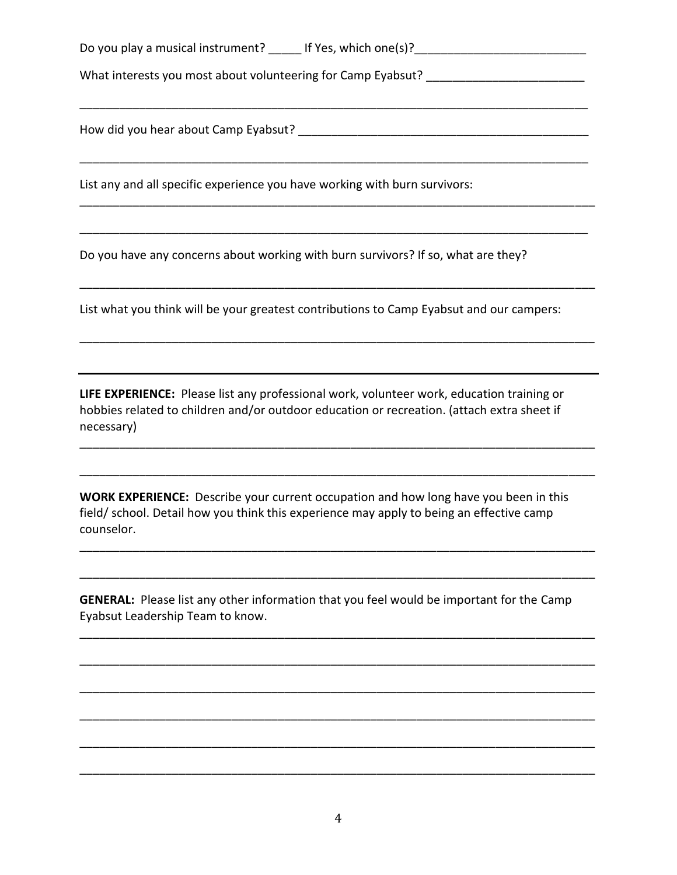Do you play a musical instrument? Let Yes, which one(s)?

\_\_\_\_\_\_\_\_\_\_\_\_\_\_\_\_\_\_\_\_\_\_\_\_\_\_\_\_\_\_\_\_\_\_\_\_\_\_\_\_\_\_\_\_\_\_\_\_\_\_\_\_\_\_\_\_\_\_\_\_\_\_\_\_\_\_\_\_\_\_\_\_\_\_\_\_\_

\_\_\_\_\_\_\_\_\_\_\_\_\_\_\_\_\_\_\_\_\_\_\_\_\_\_\_\_\_\_\_\_\_\_\_\_\_\_\_\_\_\_\_\_\_\_\_\_\_\_\_\_\_\_\_\_\_\_\_\_\_\_\_\_\_\_\_\_\_\_\_\_\_\_\_\_\_

\_\_\_\_\_\_\_\_\_\_\_\_\_\_\_\_\_\_\_\_\_\_\_\_\_\_\_\_\_\_\_\_\_\_\_\_\_\_\_\_\_\_\_\_\_\_\_\_\_\_\_\_\_\_\_\_\_\_\_\_\_\_\_\_\_\_\_\_\_\_\_\_\_\_\_\_\_\_

\_\_\_\_\_\_\_\_\_\_\_\_\_\_\_\_\_\_\_\_\_\_\_\_\_\_\_\_\_\_\_\_\_\_\_\_\_\_\_\_\_\_\_\_\_\_\_\_\_\_\_\_\_\_\_\_\_\_\_\_\_\_\_\_\_\_\_\_\_\_\_\_\_\_\_\_\_

\_\_\_\_\_\_\_\_\_\_\_\_\_\_\_\_\_\_\_\_\_\_\_\_\_\_\_\_\_\_\_\_\_\_\_\_\_\_\_\_\_\_\_\_\_\_\_\_\_\_\_\_\_\_\_\_\_\_\_\_\_\_\_\_\_\_\_\_\_\_\_\_\_\_\_\_\_\_

\_\_\_\_\_\_\_\_\_\_\_\_\_\_\_\_\_\_\_\_\_\_\_\_\_\_\_\_\_\_\_\_\_\_\_\_\_\_\_\_\_\_\_\_\_\_\_\_\_\_\_\_\_\_\_\_\_\_\_\_\_\_\_\_\_\_\_\_\_\_\_\_\_\_\_\_\_\_

What interests you most about volunteering for Camp Eyabsut?

How did you hear about Camp Eyabsut? \_\_\_\_\_\_\_\_\_\_\_\_\_\_\_\_\_\_\_\_\_\_\_\_\_\_\_\_\_\_\_\_\_\_\_\_\_\_\_\_\_\_\_\_

List any and all specific experience you have working with burn survivors:

Do you have any concerns about working with burn survivors? If so, what are they?

List what you think will be your greatest contributions to Camp Eyabsut and our campers:

**LIFE EXPERIENCE:** Please list any professional work, volunteer work, education training or hobbies related to children and/or outdoor education or recreation. (attach extra sheet if necessary)

\_\_\_\_\_\_\_\_\_\_\_\_\_\_\_\_\_\_\_\_\_\_\_\_\_\_\_\_\_\_\_\_\_\_\_\_\_\_\_\_\_\_\_\_\_\_\_\_\_\_\_\_\_\_\_\_\_\_\_\_\_\_\_\_\_\_\_\_\_\_\_\_\_\_\_\_\_\_

\_\_\_\_\_\_\_\_\_\_\_\_\_\_\_\_\_\_\_\_\_\_\_\_\_\_\_\_\_\_\_\_\_\_\_\_\_\_\_\_\_\_\_\_\_\_\_\_\_\_\_\_\_\_\_\_\_\_\_\_\_\_\_\_\_\_\_\_\_\_\_\_\_\_\_\_\_\_

\_\_\_\_\_\_\_\_\_\_\_\_\_\_\_\_\_\_\_\_\_\_\_\_\_\_\_\_\_\_\_\_\_\_\_\_\_\_\_\_\_\_\_\_\_\_\_\_\_\_\_\_\_\_\_\_\_\_\_\_\_\_\_\_\_\_\_\_\_\_\_\_\_\_\_\_\_\_

\_\_\_\_\_\_\_\_\_\_\_\_\_\_\_\_\_\_\_\_\_\_\_\_\_\_\_\_\_\_\_\_\_\_\_\_\_\_\_\_\_\_\_\_\_\_\_\_\_\_\_\_\_\_\_\_\_\_\_\_\_\_\_\_\_\_\_\_\_\_\_\_\_\_\_\_\_\_

\_\_\_\_\_\_\_\_\_\_\_\_\_\_\_\_\_\_\_\_\_\_\_\_\_\_\_\_\_\_\_\_\_\_\_\_\_\_\_\_\_\_\_\_\_\_\_\_\_\_\_\_\_\_\_\_\_\_\_\_\_\_\_\_\_\_\_\_\_\_\_\_\_\_\_\_\_\_

\_\_\_\_\_\_\_\_\_\_\_\_\_\_\_\_\_\_\_\_\_\_\_\_\_\_\_\_\_\_\_\_\_\_\_\_\_\_\_\_\_\_\_\_\_\_\_\_\_\_\_\_\_\_\_\_\_\_\_\_\_\_\_\_\_\_\_\_\_\_\_\_\_\_\_\_\_\_

\_\_\_\_\_\_\_\_\_\_\_\_\_\_\_\_\_\_\_\_\_\_\_\_\_\_\_\_\_\_\_\_\_\_\_\_\_\_\_\_\_\_\_\_\_\_\_\_\_\_\_\_\_\_\_\_\_\_\_\_\_\_\_\_\_\_\_\_\_\_\_\_\_\_\_\_\_\_

\_\_\_\_\_\_\_\_\_\_\_\_\_\_\_\_\_\_\_\_\_\_\_\_\_\_\_\_\_\_\_\_\_\_\_\_\_\_\_\_\_\_\_\_\_\_\_\_\_\_\_\_\_\_\_\_\_\_\_\_\_\_\_\_\_\_\_\_\_\_\_\_\_\_\_\_\_\_

\_\_\_\_\_\_\_\_\_\_\_\_\_\_\_\_\_\_\_\_\_\_\_\_\_\_\_\_\_\_\_\_\_\_\_\_\_\_\_\_\_\_\_\_\_\_\_\_\_\_\_\_\_\_\_\_\_\_\_\_\_\_\_\_\_\_\_\_\_\_\_\_\_\_\_\_\_\_

\_\_\_\_\_\_\_\_\_\_\_\_\_\_\_\_\_\_\_\_\_\_\_\_\_\_\_\_\_\_\_\_\_\_\_\_\_\_\_\_\_\_\_\_\_\_\_\_\_\_\_\_\_\_\_\_\_\_\_\_\_\_\_\_\_\_\_\_\_\_\_\_\_\_\_\_\_\_

**WORK EXPERIENCE:** Describe your current occupation and how long have you been in this field/ school. Detail how you think this experience may apply to being an effective camp counselor.

**GENERAL:** Please list any other information that you feel would be important for the Camp Eyabsut Leadership Team to know.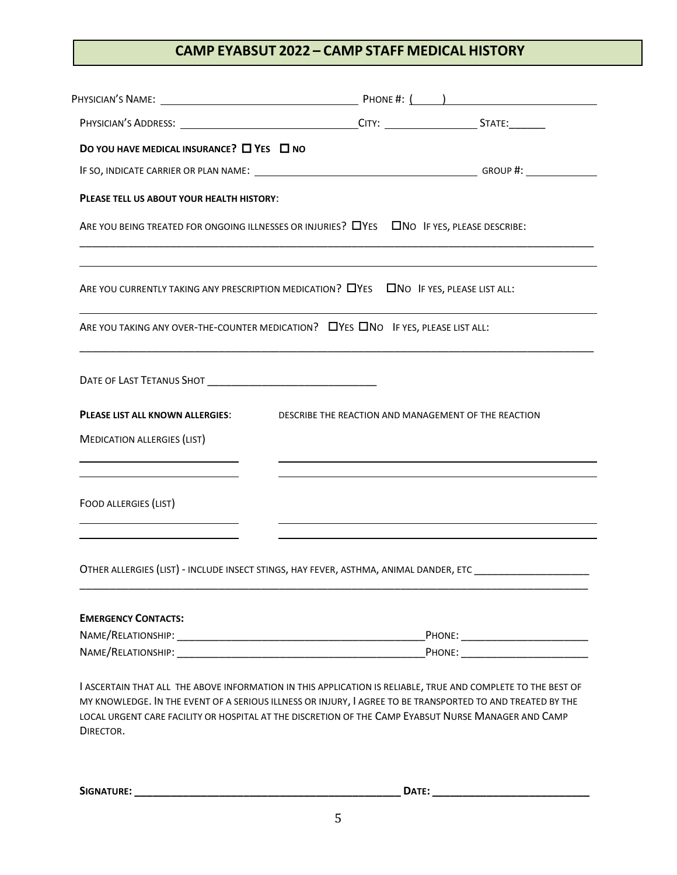### **CAMP EYABSUT 2022 – CAMP STAFF MEDICAL HISTORY**

| DO YOU HAVE MEDICAL INSURANCE? $\Box$ YES $\Box$ NO                                                                                                                                                                                                                                                                                            |                                                      |  |  |
|------------------------------------------------------------------------------------------------------------------------------------------------------------------------------------------------------------------------------------------------------------------------------------------------------------------------------------------------|------------------------------------------------------|--|--|
|                                                                                                                                                                                                                                                                                                                                                |                                                      |  |  |
| PLEASE TELL US ABOUT YOUR HEALTH HISTORY:                                                                                                                                                                                                                                                                                                      |                                                      |  |  |
| ARE YOU BEING TREATED FOR ONGOING ILLNESSES OR INJURIES? LYES LINO IF YES, PLEASE DESCRIBE:                                                                                                                                                                                                                                                    |                                                      |  |  |
| ARE YOU CURRENTLY TAKING ANY PRESCRIPTION MEDICATION? LYES LAND IF YES, PLEASE LIST ALL:                                                                                                                                                                                                                                                       |                                                      |  |  |
| ARE YOU TAKING ANY OVER-THE-COUNTER MEDICATION? DYES ONO IF YES, PLEASE LIST ALL:                                                                                                                                                                                                                                                              |                                                      |  |  |
|                                                                                                                                                                                                                                                                                                                                                |                                                      |  |  |
| PLEASE LIST ALL KNOWN ALLERGIES:                                                                                                                                                                                                                                                                                                               | DESCRIBE THE REACTION AND MANAGEMENT OF THE REACTION |  |  |
| <b>MEDICATION ALLERGIES (LIST)</b>                                                                                                                                                                                                                                                                                                             |                                                      |  |  |
|                                                                                                                                                                                                                                                                                                                                                |                                                      |  |  |
| FOOD ALLERGIES (LIST)                                                                                                                                                                                                                                                                                                                          |                                                      |  |  |
| OTHER ALLERGIES (LIST) - INCLUDE INSECT STINGS, HAY FEVER, ASTHMA, ANIMAL DANDER, ETC                                                                                                                                                                                                                                                          |                                                      |  |  |
| <b>EMERGENCY CONTACTS:</b>                                                                                                                                                                                                                                                                                                                     |                                                      |  |  |
|                                                                                                                                                                                                                                                                                                                                                |                                                      |  |  |
|                                                                                                                                                                                                                                                                                                                                                |                                                      |  |  |
| I ASCERTAIN THAT ALL THE ABOVE INFORMATION IN THIS APPLICATION IS RELIABLE, TRUE AND COMPLETE TO THE BEST OF<br>MY KNOWLEDGE. IN THE EVENT OF A SERIOUS ILLNESS OR INJURY, I AGREE TO BE TRANSPORTED TO AND TREATED BY THE<br>LOCAL URGENT CARE FACILITY OR HOSPITAL AT THE DISCRETION OF THE CAMP EYABSUT NURSE MANAGER AND CAMP<br>DIRECTOR. |                                                      |  |  |

**SIGNATURE: \_\_\_\_\_\_\_\_\_\_\_\_\_\_\_\_\_\_\_\_\_\_\_\_\_\_\_\_\_\_\_\_\_\_\_\_\_\_\_\_\_\_\_\_ DATE: \_\_\_\_\_\_\_\_\_\_\_\_\_\_\_\_\_\_\_\_\_\_\_\_\_\_**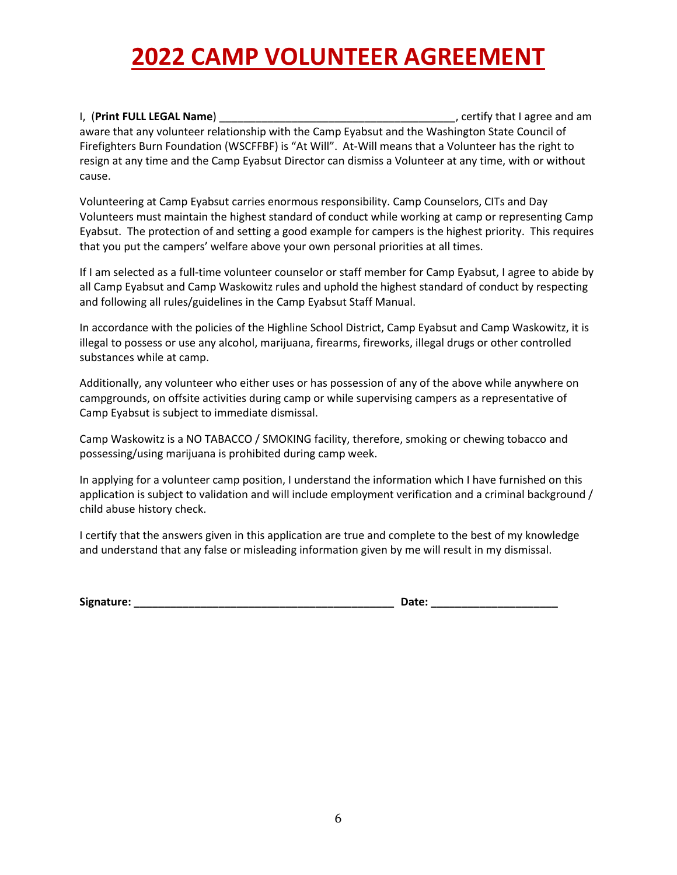# **2022 CAMP VOLUNTEER AGREEMENT**

I, (**Print FULL LEGAL Name**) \_\_\_\_\_\_\_\_\_\_\_\_\_\_\_\_\_\_\_\_\_\_\_\_\_\_\_\_\_\_\_\_\_\_\_\_\_\_\_, certify that I agree and am aware that any volunteer relationship with the Camp Eyabsut and the Washington State Council of Firefighters Burn Foundation (WSCFFBF) is "At Will". At-Will means that a Volunteer has the right to resign at any time and the Camp Eyabsut Director can dismiss a Volunteer at any time, with or without cause.

Volunteering at Camp Eyabsut carries enormous responsibility. Camp Counselors, CITs and Day Volunteers must maintain the highest standard of conduct while working at camp or representing Camp Eyabsut. The protection of and setting a good example for campers is the highest priority. This requires that you put the campers' welfare above your own personal priorities at all times.

If I am selected as a full-time volunteer counselor or staff member for Camp Eyabsut, I agree to abide by all Camp Eyabsut and Camp Waskowitz rules and uphold the highest standard of conduct by respecting and following all rules/guidelines in the Camp Eyabsut Staff Manual.

In accordance with the policies of the Highline School District, Camp Eyabsut and Camp Waskowitz, it is illegal to possess or use any alcohol, marijuana, firearms, fireworks, illegal drugs or other controlled substances while at camp.

Additionally, any volunteer who either uses or has possession of any of the above while anywhere on campgrounds, on offsite activities during camp or while supervising campers as a representative of Camp Eyabsut is subject to immediate dismissal.

Camp Waskowitz is a NO TABACCO / SMOKING facility, therefore, smoking or chewing tobacco and possessing/using marijuana is prohibited during camp week.

In applying for a volunteer camp position, I understand the information which I have furnished on this application is subject to validation and will include employment verification and a criminal background / child abuse history check.

I certify that the answers given in this application are true and complete to the best of my knowledge and understand that any false or misleading information given by me will result in my dismissal.

**Signature: \_\_\_\_\_\_\_\_\_\_\_\_\_\_\_\_\_\_\_\_\_\_\_\_\_\_\_\_\_\_\_\_\_\_\_\_\_\_\_\_\_\_\_ Date: \_\_\_\_\_\_\_\_\_\_\_\_\_\_\_\_\_\_\_\_\_**